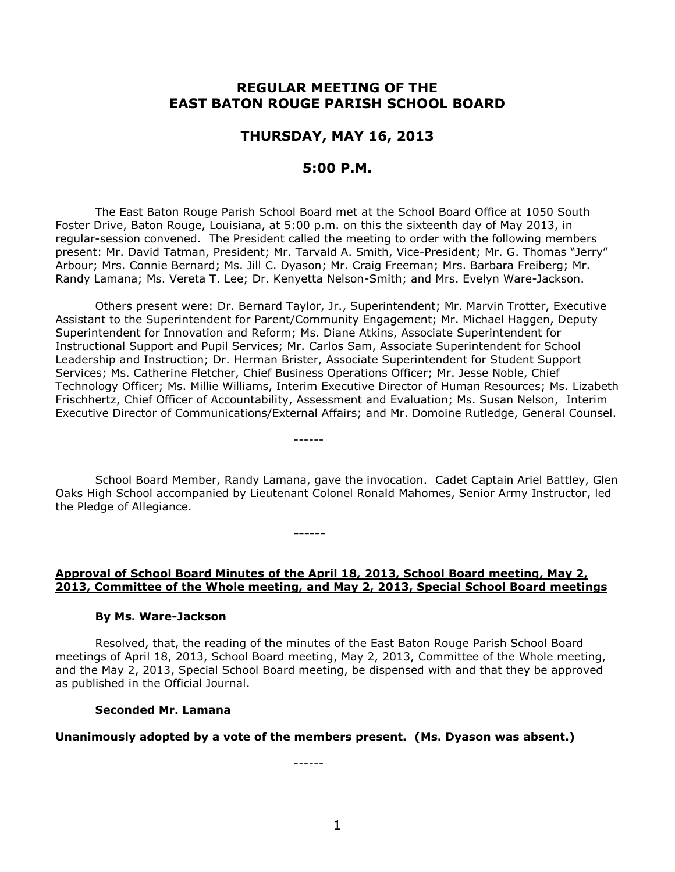# **REGULAR MEETING OF THE EAST BATON ROUGE PARISH SCHOOL BOARD**

# **THURSDAY, MAY 16, 2013**

# **5:00 P.M.**

The East Baton Rouge Parish School Board met at the School Board Office at 1050 South Foster Drive, Baton Rouge, Louisiana, at 5:00 p.m. on this the sixteenth day of May 2013, in regular-session convened. The President called the meeting to order with the following members present: Mr. David Tatman, President; Mr. Tarvald A. Smith, Vice-President; Mr. G. Thomas "Jerry" Arbour; Mrs. Connie Bernard; Ms. Jill C. Dyason; Mr. Craig Freeman; Mrs. Barbara Freiberg; Mr. Randy Lamana; Ms. Vereta T. Lee; Dr. Kenyetta Nelson-Smith; and Mrs. Evelyn Ware-Jackson.

Others present were: Dr. Bernard Taylor, Jr., Superintendent; Mr. Marvin Trotter, Executive Assistant to the Superintendent for Parent/Community Engagement; Mr. Michael Haggen, Deputy Superintendent for Innovation and Reform; Ms. Diane Atkins, Associate Superintendent for Instructional Support and Pupil Services; Mr. Carlos Sam, Associate Superintendent for School Leadership and Instruction; Dr. Herman Brister, Associate Superintendent for Student Support Services; Ms. Catherine Fletcher, Chief Business Operations Officer; Mr. Jesse Noble, Chief Technology Officer; Ms. Millie Williams, Interim Executive Director of Human Resources; Ms. Lizabeth Frischhertz, Chief Officer of Accountability, Assessment and Evaluation; Ms. Susan Nelson, Interim Executive Director of Communications/External Affairs; and Mr. Domoine Rutledge, General Counsel.

School Board Member, Randy Lamana, gave the invocation. Cadet Captain Ariel Battley, Glen Oaks High School accompanied by Lieutenant Colonel Ronald Mahomes, Senior Army Instructor, led the Pledge of Allegiance.

------

**------**

## **Approval of School Board Minutes of the April 18, 2013, School Board meeting, May 2, 2013, Committee of the Whole meeting, and May 2, 2013, Special School Board meetings**

#### **By Ms. Ware-Jackson**

Resolved, that, the reading of the minutes of the East Baton Rouge Parish School Board meetings of April 18, 2013, School Board meeting, May 2, 2013, Committee of the Whole meeting, and the May 2, 2013, Special School Board meeting, be dispensed with and that they be approved as published in the Official Journal.

#### **Seconded Mr. Lamana**

#### **Unanimously adopted by a vote of the members present. (Ms. Dyason was absent.)**

------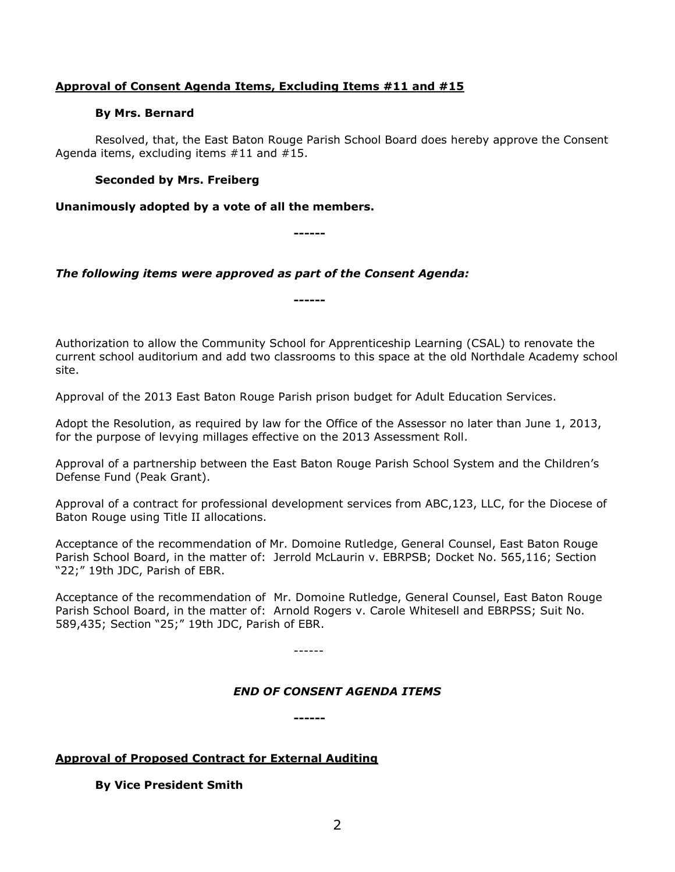# **Approval of Consent Agenda Items, Excluding Items #11 and #15**

# **By Mrs. Bernard**

Resolved, that, the East Baton Rouge Parish School Board does hereby approve the Consent Agenda items, excluding items #11 and #15.

# **Seconded by Mrs. Freiberg**

**Unanimously adopted by a vote of all the members.**

**------**

**------**

# *The following items were approved as part of the Consent Agenda:*

Authorization to allow the Community School for Apprenticeship Learning (CSAL) to renovate the current school auditorium and add two classrooms to this space at the old Northdale Academy school site.

Approval of the 2013 East Baton Rouge Parish prison budget for Adult Education Services.

Adopt the Resolution, as required by law for the Office of the Assessor no later than June 1, 2013, for the purpose of levying millages effective on the 2013 Assessment Roll.

Approval of a partnership between the East Baton Rouge Parish School System and the Children's Defense Fund (Peak Grant).

Approval of a contract for professional development services from ABC,123, LLC, for the Diocese of Baton Rouge using Title II allocations.

Acceptance of the recommendation of Mr. Domoine Rutledge, General Counsel, East Baton Rouge Parish School Board, in the matter of: Jerrold McLaurin v. EBRPSB; Docket No. 565,116; Section "22;" 19th JDC, Parish of EBR.

Acceptance of the recommendation of Mr. Domoine Rutledge, General Counsel, East Baton Rouge Parish School Board, in the matter of: Arnold Rogers v. Carole Whitesell and EBRPSS; Suit No. 589,435; Section "25;" 19th JDC, Parish of EBR.

------

# *END OF CONSENT AGENDA ITEMS*

**------**

# **Approval of Proposed Contract for External Auditing**

**By Vice President Smith**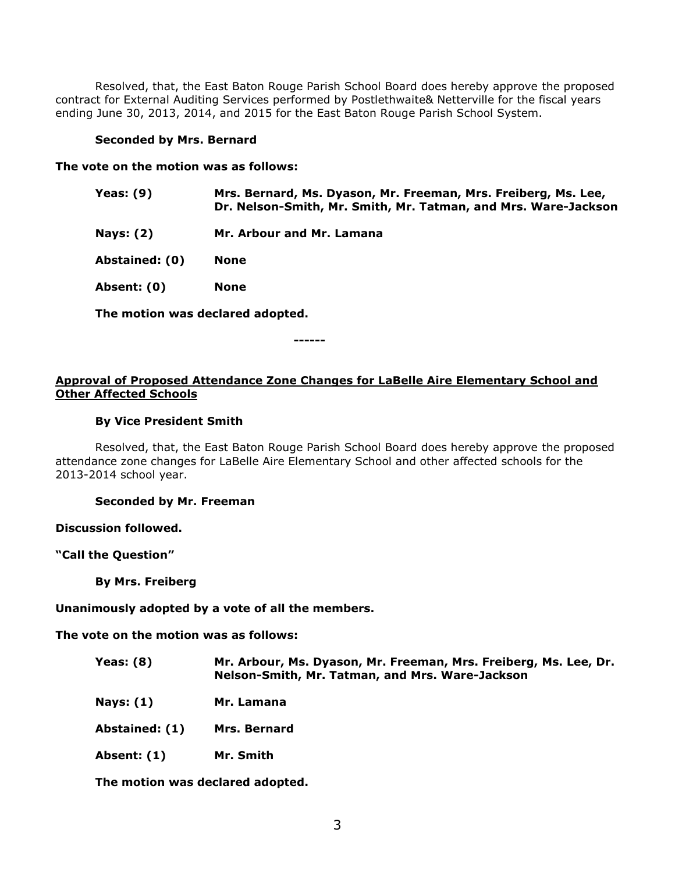Resolved, that, the East Baton Rouge Parish School Board does hereby approve the proposed contract for External Auditing Services performed by Postlethwaite& Netterville for the fiscal years ending June 30, 2013, 2014, and 2015 for the East Baton Rouge Parish School System.

#### **Seconded by Mrs. Bernard**

**The vote on the motion was as follows:**

- **Yeas: (9) Mrs. Bernard, Ms. Dyason, Mr. Freeman, Mrs. Freiberg, Ms. Lee, Dr. Nelson-Smith, Mr. Smith, Mr. Tatman, and Mrs. Ware-Jackson**
- **Nays: (2) Mr. Arbour and Mr. Lamana**

**Abstained: (0) None** 

**Absent: (0) None**

**The motion was declared adopted.**

**------**

# **Approval of Proposed Attendance Zone Changes for LaBelle Aire Elementary School and Other Affected Schools**

# **By Vice President Smith**

Resolved, that, the East Baton Rouge Parish School Board does hereby approve the proposed attendance zone changes for LaBelle Aire Elementary School and other affected schools for the 2013-2014 school year.

**Seconded by Mr. Freeman**

**Discussion followed.**

**"Call the Question"**

**By Mrs. Freiberg**

**Unanimously adopted by a vote of all the members.**

**The vote on the motion was as follows:**

- **Yeas: (8) Mr. Arbour, Ms. Dyason, Mr. Freeman, Mrs. Freiberg, Ms. Lee, Dr. Nelson-Smith, Mr. Tatman, and Mrs. Ware-Jackson**
- **Nays: (1) Mr. Lamana**
- **Abstained: (1) Mrs. Bernard**
- **Absent: (1) Mr. Smith**

**The motion was declared adopted.**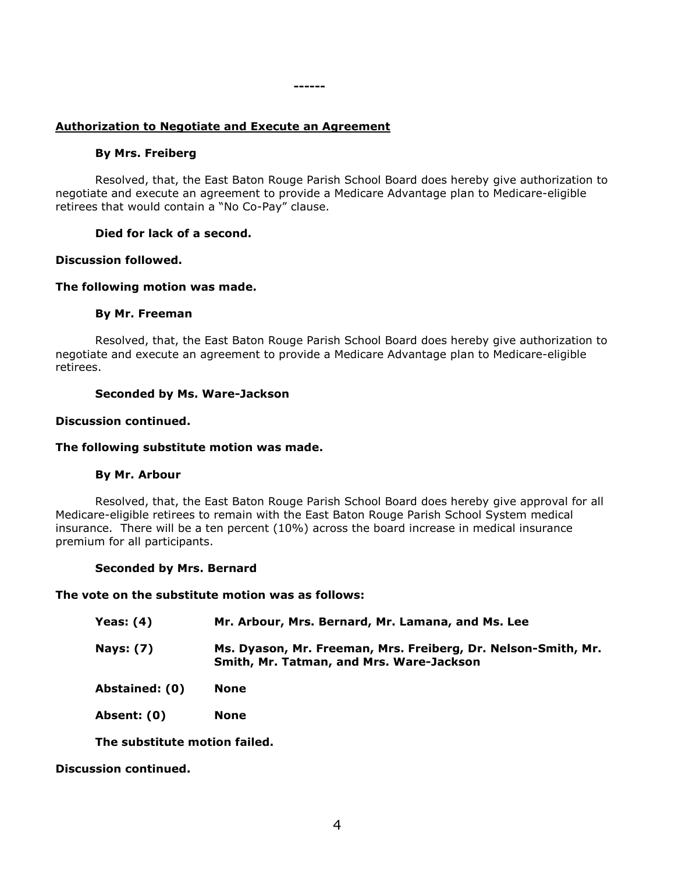# **Authorization to Negotiate and Execute an Agreement**

# **By Mrs. Freiberg**

Resolved, that, the East Baton Rouge Parish School Board does hereby give authorization to negotiate and execute an agreement to provide a Medicare Advantage plan to Medicare-eligible retirees that would contain a "No Co-Pay" clause.

**------**

# **Died for lack of a second.**

# **Discussion followed.**

# **The following motion was made.**

# **By Mr. Freeman**

Resolved, that, the East Baton Rouge Parish School Board does hereby give authorization to negotiate and execute an agreement to provide a Medicare Advantage plan to Medicare-eligible retirees.

# **Seconded by Ms. Ware-Jackson**

# **Discussion continued.**

# **The following substitute motion was made.**

# **By Mr. Arbour**

Resolved, that, the East Baton Rouge Parish School Board does hereby give approval for all Medicare-eligible retirees to remain with the East Baton Rouge Parish School System medical insurance. There will be a ten percent (10%) across the board increase in medical insurance premium for all participants.

# **Seconded by Mrs. Bernard**

# **The vote on the substitute motion was as follows:**

| Yeas: $(4)$      | Mr. Arbour, Mrs. Bernard, Mr. Lamana, and Ms. Lee                                                         |
|------------------|-----------------------------------------------------------------------------------------------------------|
| <b>Nays: (7)</b> | Ms. Dyason, Mr. Freeman, Mrs. Freiberg, Dr. Nelson-Smith, Mr.<br>Smith, Mr. Tatman, and Mrs. Ware-Jackson |

**Abstained: (0) None**

**Absent: (0) None**

**The substitute motion failed.**

**Discussion continued.**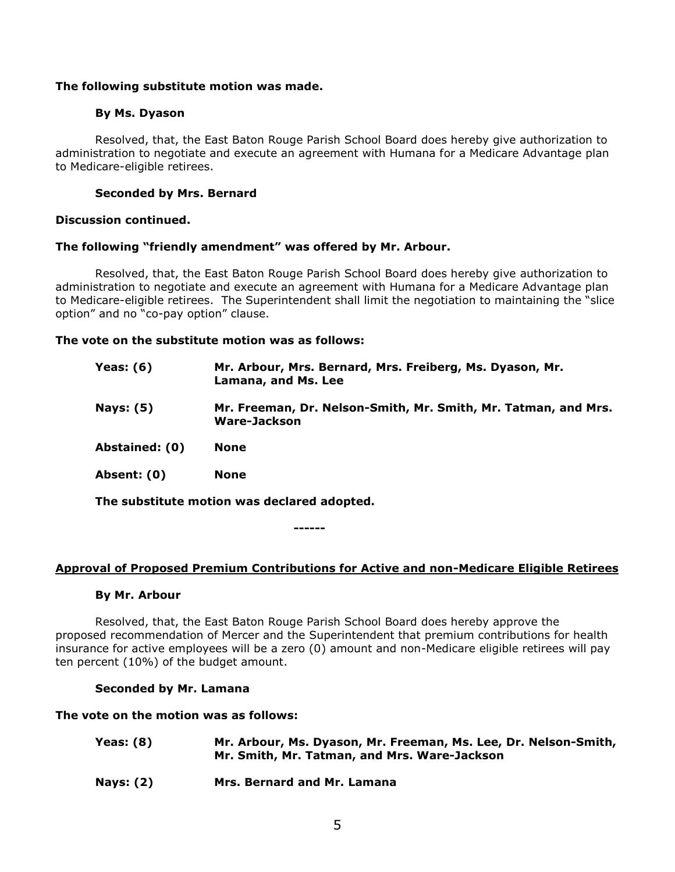## **The following substitute motion was made.**

## **By Ms. Dyason**

Resolved, that, the East Baton Rouge Parish School Board does hereby give authorization to administration to negotiate and execute an agreement with Humana for a Medicare Advantage plan to Medicare-eligible retirees.

# **Seconded by Mrs. Bernard**

## **Discussion continued.**

## **The following "friendly amendment" was offered by Mr. Arbour.**

Resolved, that, the East Baton Rouge Parish School Board does hereby give authorization to administration to negotiate and execute an agreement with Humana for a Medicare Advantage plan to Medicare-eligible retirees. The Superintendent shall limit the negotiation to maintaining the "slice option" and no "co-pay option" clause.

## **The vote on the substitute motion was as follows:**

| <b>Yeas: (6)</b> | Mr. Arbour, Mrs. Bernard, Mrs. Freiberg, Ms. Dyason, Mr.<br>Lamana, and Ms. Lee |
|------------------|---------------------------------------------------------------------------------|
| <b>Nays: (5)</b> | Mr. Freeman, Dr. Nelson-Smith, Mr. Smith, Mr. Tatman, and Mrs.<br>Ware-Jackson  |
| Abstained: (0)   | None                                                                            |
| Absent: (0)      | <b>None</b>                                                                     |
|                  |                                                                                 |

**The substitute motion was declared adopted.**

**------**

#### **Approval of Proposed Premium Contributions for Active and non-Medicare Eligible Retirees**

#### **By Mr. Arbour**

Resolved, that, the East Baton Rouge Parish School Board does hereby approve the proposed recommendation of Mercer and the Superintendent that premium contributions for health insurance for active employees will be a zero (0) amount and non-Medicare eligible retirees will pay ten percent (10%) of the budget amount.

#### **Seconded by Mr. Lamana**

**The vote on the motion was as follows:**

| Yeas: (8)        | Mr. Arbour, Ms. Dyason, Mr. Freeman, Ms. Lee, Dr. Nelson-Smith,<br>Mr. Smith, Mr. Tatman, and Mrs. Ware-Jackson |
|------------------|-----------------------------------------------------------------------------------------------------------------|
| <b>Nays: (2)</b> | Mrs. Bernard and Mr. Lamana                                                                                     |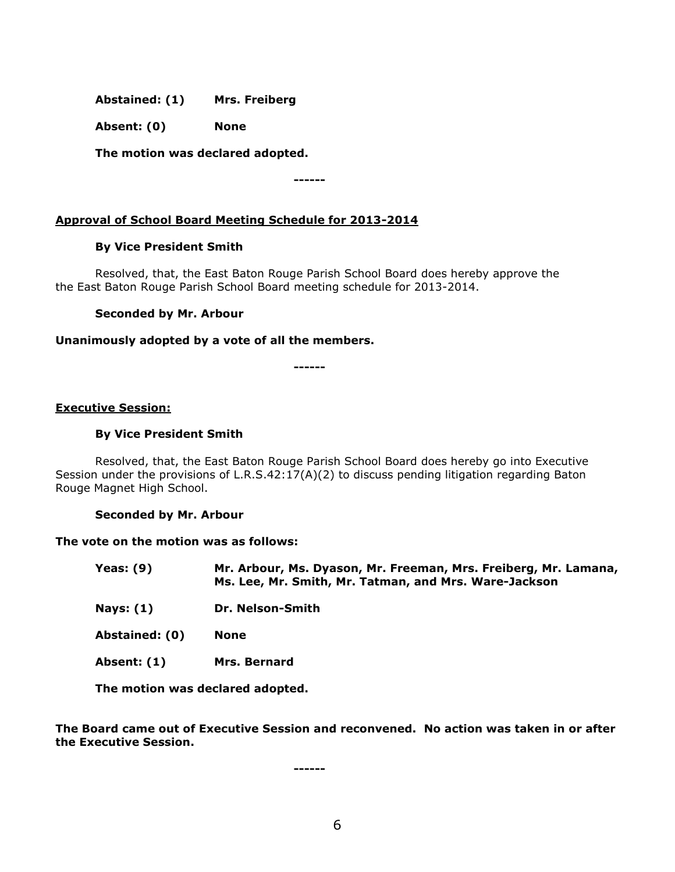**Abstained: (1) Mrs. Freiberg**

**Absent: (0) None**

**The motion was declared adopted.**

# **Approval of School Board Meeting Schedule for 2013-2014**

## **By Vice President Smith**

Resolved, that, the East Baton Rouge Parish School Board does hereby approve the the East Baton Rouge Parish School Board meeting schedule for 2013-2014.

**------**

## **Seconded by Mr. Arbour**

## **Unanimously adopted by a vote of all the members.**

**------**

## **Executive Session:**

#### **By Vice President Smith**

Resolved, that, the East Baton Rouge Parish School Board does hereby go into Executive Session under the provisions of L.R.S.42:17(A)(2) to discuss pending litigation regarding Baton Rouge Magnet High School.

#### **Seconded by Mr. Arbour**

#### **The vote on the motion was as follows:**

| <b>Yeas: (9)</b> | Mr. Arbour, Ms. Dyason, Mr. Freeman, Mrs. Freiberg, Mr. Lamana, |
|------------------|-----------------------------------------------------------------|
|                  | Ms. Lee, Mr. Smith, Mr. Tatman, and Mrs. Ware-Jackson           |

- **Nays: (1) Dr. Nelson-Smith**
- **Abstained: (0) None**
- **Absent: (1) Mrs. Bernard**

**The motion was declared adopted.**

**The Board came out of Executive Session and reconvened. No action was taken in or after the Executive Session.**

**------**